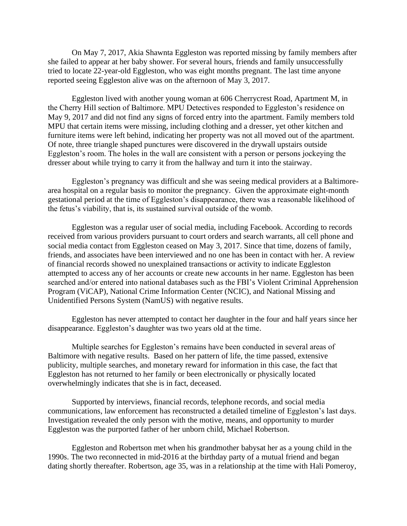On May 7, 2017, Akia Shawnta Eggleston was reported missing by family members after she failed to appear at her baby shower. For several hours, friends and family unsuccessfully tried to locate 22-year-old Eggleston, who was eight months pregnant. The last time anyone reported seeing Eggleston alive was on the afternoon of May 3, 2017.

Eggleston lived with another young woman at 606 Cherrycrest Road, Apartment M, in the Cherry Hill section of Baltimore. MPU Detectives responded to Eggleston's residence on May 9, 2017 and did not find any signs of forced entry into the apartment. Family members told MPU that certain items were missing, including clothing and a dresser, yet other kitchen and furniture items were left behind, indicating her property was not all moved out of the apartment. Of note, three triangle shaped punctures were discovered in the drywall upstairs outside Eggleston's room. The holes in the wall are consistent with a person or persons jockeying the dresser about while trying to carry it from the hallway and turn it into the stairway.

Eggleston's pregnancy was difficult and she was seeing medical providers at a Baltimorearea hospital on a regular basis to monitor the pregnancy. Given the approximate eight-month gestational period at the time of Eggleston's disappearance, there was a reasonable likelihood of the fetus's viability, that is, its sustained survival outside of the womb.

Eggleston was a regular user of social media, including Facebook. According to records received from various providers pursuant to court orders and search warrants, all cell phone and social media contact from Eggleston ceased on May 3, 2017. Since that time, dozens of family, friends, and associates have been interviewed and no one has been in contact with her. A review of financial records showed no unexplained transactions or activity to indicate Eggleston attempted to access any of her accounts or create new accounts in her name. Eggleston has been searched and/or entered into national databases such as the FBI's Violent Criminal Apprehension Program (ViCAP), National Crime Information Center (NCIC), and National Missing and Unidentified Persons System (NamUS) with negative results.

Eggleston has never attempted to contact her daughter in the four and half years since her disappearance. Eggleston's daughter was two years old at the time.

Multiple searches for Eggleston's remains have been conducted in several areas of Baltimore with negative results. Based on her pattern of life, the time passed, extensive publicity, multiple searches, and monetary reward for information in this case, the fact that Eggleston has not returned to her family or been electronically or physically located overwhelmingly indicates that she is in fact, deceased.

Supported by interviews, financial records, telephone records, and social media communications, law enforcement has reconstructed a detailed timeline of Eggleston's last days. Investigation revealed the only person with the motive, means, and opportunity to murder Eggleston was the purported father of her unborn child, Michael Robertson.

Eggleston and Robertson met when his grandmother babysat her as a young child in the 1990s. The two reconnected in mid-2016 at the birthday party of a mutual friend and began dating shortly thereafter. Robertson, age 35, was in a relationship at the time with Hali Pomeroy,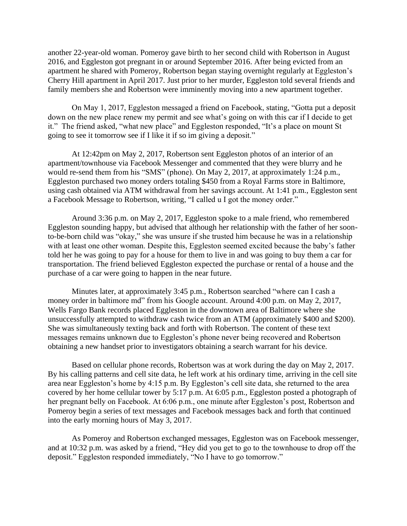another 22-year-old woman. Pomeroy gave birth to her second child with Robertson in August 2016, and Eggleston got pregnant in or around September 2016. After being evicted from an apartment he shared with Pomeroy, Robertson began staying overnight regularly at Eggleston's Cherry Hill apartment in April 2017. Just prior to her murder, Eggleston told several friends and family members she and Robertson were imminently moving into a new apartment together.

On May 1, 2017, Eggleston messaged a friend on Facebook, stating, "Gotta put a deposit down on the new place renew my permit and see what's going on with this car if I decide to get it." The friend asked, "what new place" and Eggleston responded, "It's a place on mount St going to see it tomorrow see if I like it if so im giving a deposit."

At 12:42pm on May 2, 2017, Robertson sent Eggleston photos of an interior of an apartment/townhouse via Facebook Messenger and commented that they were blurry and he would re-send them from his "SMS" (phone). On May 2, 2017, at approximately 1:24 p.m., Eggleston purchased two money orders totaling \$450 from a Royal Farms store in Baltimore, using cash obtained via ATM withdrawal from her savings account. At 1:41 p.m., Eggleston sent a Facebook Message to Robertson, writing, "I called u I got the money order."

Around 3:36 p.m. on May 2, 2017, Eggleston spoke to a male friend, who remembered Eggleston sounding happy, but advised that although her relationship with the father of her soonto-be-born child was "okay," she was unsure if she trusted him because he was in a relationship with at least one other woman. Despite this, Eggleston seemed excited because the baby's father told her he was going to pay for a house for them to live in and was going to buy them a car for transportation. The friend believed Eggleston expected the purchase or rental of a house and the purchase of a car were going to happen in the near future.

Minutes later, at approximately 3:45 p.m., Robertson searched "where can I cash a money order in baltimore md" from his Google account. Around 4:00 p.m. on May 2, 2017, Wells Fargo Bank records placed Eggleston in the downtown area of Baltimore where she unsuccessfully attempted to withdraw cash twice from an ATM (approximately \$400 and \$200). She was simultaneously texting back and forth with Robertson. The content of these text messages remains unknown due to Eggleston's phone never being recovered and Robertson obtaining a new handset prior to investigators obtaining a search warrant for his device.

Based on cellular phone records, Robertson was at work during the day on May 2, 2017. By his calling patterns and cell site data, he left work at his ordinary time, arriving in the cell site area near Eggleston's home by 4:15 p.m. By Eggleston's cell site data, she returned to the area covered by her home cellular tower by 5:17 p.m. At 6:05 p.m., Eggleston posted a photograph of her pregnant belly on Facebook. At 6:06 p.m., one minute after Eggleston's post, Robertson and Pomeroy begin a series of text messages and Facebook messages back and forth that continued into the early morning hours of May 3, 2017.

As Pomeroy and Robertson exchanged messages, Eggleston was on Facebook messenger, and at 10:32 p.m. was asked by a friend, "Hey did you get to go to the townhouse to drop off the deposit." Eggleston responded immediately, "No I have to go tomorrow."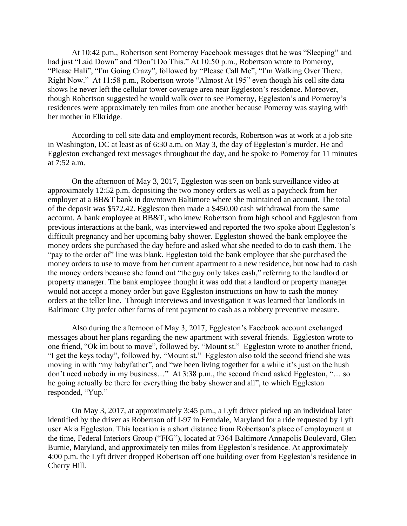At 10:42 p.m., Robertson sent Pomeroy Facebook messages that he was "Sleeping" and had just "Laid Down" and "Don't Do This." At 10:50 p.m., Robertson wrote to Pomeroy, "Please Hali", "I'm Going Crazy", followed by "Please Call Me", "I'm Walking Over There, Right Now." At 11:58 p.m., Robertson wrote "Almost At 195" even though his cell site data shows he never left the cellular tower coverage area near Eggleston's residence. Moreover, though Robertson suggested he would walk over to see Pomeroy, Eggleston's and Pomeroy's residences were approximately ten miles from one another because Pomeroy was staying with her mother in Elkridge.

According to cell site data and employment records, Robertson was at work at a job site in Washington, DC at least as of 6:30 a.m. on May 3, the day of Eggleston's murder. He and Eggleston exchanged text messages throughout the day, and he spoke to Pomeroy for 11 minutes at 7:52 a.m.

On the afternoon of May 3, 2017, Eggleston was seen on bank surveillance video at approximately 12:52 p.m. depositing the two money orders as well as a paycheck from her employer at a BB&T bank in downtown Baltimore where she maintained an account. The total of the deposit was \$572.42. Eggleston then made a \$450.00 cash withdrawal from the same account. A bank employee at BB&T, who knew Robertson from high school and Eggleston from previous interactions at the bank, was interviewed and reported the two spoke about Eggleston's difficult pregnancy and her upcoming baby shower. Eggleston showed the bank employee the money orders she purchased the day before and asked what she needed to do to cash them. The "pay to the order of" line was blank. Eggleston told the bank employee that she purchased the money orders to use to move from her current apartment to a new residence, but now had to cash the money orders because she found out "the guy only takes cash," referring to the landlord or property manager. The bank employee thought it was odd that a landlord or property manager would not accept a money order but gave Eggleston instructions on how to cash the money orders at the teller line. Through interviews and investigation it was learned that landlords in Baltimore City prefer other forms of rent payment to cash as a robbery preventive measure.

Also during the afternoon of May 3, 2017, Eggleston's Facebook account exchanged messages about her plans regarding the new apartment with several friends. Eggleston wrote to one friend, "Ok im bout to move", followed by, "Mount st." Eggleston wrote to another friend, "I get the keys today", followed by, "Mount st." Eggleston also told the second friend she was moving in with "my babyfather", and "we been living together for a while it's just on the hush don't need nobody in my business…" At 3:38 p.m., the second friend asked Eggleston, "… so he going actually be there for everything the baby shower and all", to which Eggleston responded, "Yup."

On May 3, 2017, at approximately 3:45 p.m., a Lyft driver picked up an individual later identified by the driver as Robertson off I-97 in Ferndale, Maryland for a ride requested by Lyft user Akia Eggleston. This location is a short distance from Robertson's place of employment at the time, Federal Interiors Group ("FIG"), located at 7364 Baltimore Annapolis Boulevard, Glen Burnie, Maryland, and approximately ten miles from Eggleston's residence. At approximately 4:00 p.m. the Lyft driver dropped Robertson off one building over from Eggleston's residence in Cherry Hill.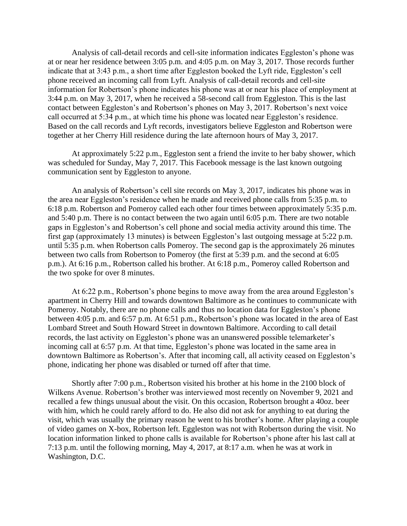Analysis of call-detail records and cell-site information indicates Eggleston's phone was at or near her residence between 3:05 p.m. and 4:05 p.m. on May 3, 2017. Those records further indicate that at 3:43 p.m., a short time after Eggleston booked the Lyft ride, Eggleston's cell phone received an incoming call from Lyft. Analysis of call-detail records and cell-site information for Robertson's phone indicates his phone was at or near his place of employment at 3:44 p.m. on May 3, 2017, when he received a 58-second call from Eggleston. This is the last contact between Eggleston's and Robertson's phones on May 3, 2017. Robertson's next voice call occurred at 5:34 p.m., at which time his phone was located near Eggleston's residence. Based on the call records and Lyft records, investigators believe Eggleston and Robertson were together at her Cherry Hill residence during the late afternoon hours of May 3, 2017.

At approximately 5:22 p.m., Eggleston sent a friend the invite to her baby shower, which was scheduled for Sunday, May 7, 2017. This Facebook message is the last known outgoing communication sent by Eggleston to anyone.

An analysis of Robertson's cell site records on May 3, 2017, indicates his phone was in the area near Eggleston's residence when he made and received phone calls from 5:35 p.m. to 6:18 p.m. Robertson and Pomeroy called each other four times between approximately 5:35 p.m. and 5:40 p.m. There is no contact between the two again until 6:05 p.m. There are two notable gaps in Eggleston's and Robertson's cell phone and social media activity around this time. The first gap (approximately 13 minutes) is between Eggleston's last outgoing message at 5:22 p.m. until 5:35 p.m. when Robertson calls Pomeroy. The second gap is the approximately 26 minutes between two calls from Robertson to Pomeroy (the first at 5:39 p.m. and the second at 6:05 p.m.). At 6:16 p.m., Robertson called his brother. At 6:18 p.m., Pomeroy called Robertson and the two spoke for over 8 minutes.

At 6:22 p.m., Robertson's phone begins to move away from the area around Eggleston's apartment in Cherry Hill and towards downtown Baltimore as he continues to communicate with Pomeroy. Notably, there are no phone calls and thus no location data for Eggleston's phone between 4:05 p.m. and 6:57 p.m. At 6:51 p.m., Robertson's phone was located in the area of East Lombard Street and South Howard Street in downtown Baltimore. According to call detail records, the last activity on Eggleston's phone was an unanswered possible telemarketer's incoming call at 6:57 p.m. At that time, Eggleston's phone was located in the same area in downtown Baltimore as Robertson's. After that incoming call, all activity ceased on Eggleston's phone, indicating her phone was disabled or turned off after that time.

Shortly after 7:00 p.m., Robertson visited his brother at his home in the 2100 block of Wilkens Avenue. Robertson's brother was interviewed most recently on November 9, 2021 and recalled a few things unusual about the visit. On this occasion, Robertson brought a 40oz. beer with him, which he could rarely afford to do. He also did not ask for anything to eat during the visit, which was usually the primary reason he went to his brother's home. After playing a couple of video games on X-box, Robertson left. Eggleston was not with Robertson during the visit. No location information linked to phone calls is available for Robertson's phone after his last call at 7:13 p.m. until the following morning, May 4, 2017, at 8:17 a.m. when he was at work in Washington, D.C.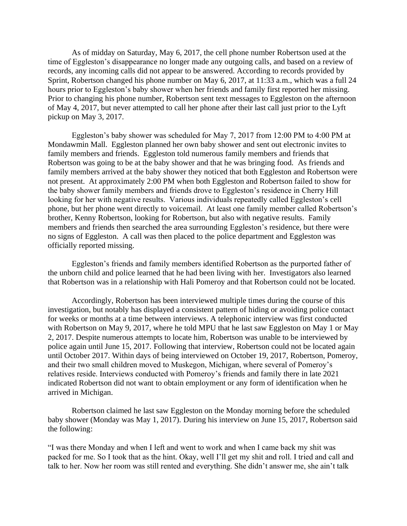As of midday on Saturday, May 6, 2017, the cell phone number Robertson used at the time of Eggleston's disappearance no longer made any outgoing calls, and based on a review of records, any incoming calls did not appear to be answered. According to records provided by Sprint, Robertson changed his phone number on May 6, 2017, at 11:33 a.m., which was a full 24 hours prior to Eggleston's baby shower when her friends and family first reported her missing. Prior to changing his phone number, Robertson sent text messages to Eggleston on the afternoon of May 4, 2017, but never attempted to call her phone after their last call just prior to the Lyft pickup on May 3, 2017.

Eggleston's baby shower was scheduled for May 7, 2017 from 12:00 PM to 4:00 PM at Mondawmin Mall. Eggleston planned her own baby shower and sent out electronic invites to family members and friends. Eggleston told numerous family members and friends that Robertson was going to be at the baby shower and that he was bringing food. As friends and family members arrived at the baby shower they noticed that both Eggleston and Robertson were not present. At approximately 2:00 PM when both Eggleston and Robertson failed to show for the baby shower family members and friends drove to Eggleston's residence in Cherry Hill looking for her with negative results. Various individuals repeatedly called Eggleston's cell phone, but her phone went directly to voicemail. At least one family member called Robertson's brother, Kenny Robertson, looking for Robertson, but also with negative results. Family members and friends then searched the area surrounding Eggleston's residence, but there were no signs of Eggleston. A call was then placed to the police department and Eggleston was officially reported missing.

Eggleston's friends and family members identified Robertson as the purported father of the unborn child and police learned that he had been living with her. Investigators also learned that Robertson was in a relationship with Hali Pomeroy and that Robertson could not be located.

Accordingly, Robertson has been interviewed multiple times during the course of this investigation, but notably has displayed a consistent pattern of hiding or avoiding police contact for weeks or months at a time between interviews. A telephonic interview was first conducted with Robertson on May 9, 2017, where he told MPU that he last saw Eggleston on May 1 or May 2, 2017. Despite numerous attempts to locate him, Robertson was unable to be interviewed by police again until June 15, 2017. Following that interview, Robertson could not be located again until October 2017. Within days of being interviewed on October 19, 2017, Robertson, Pomeroy, and their two small children moved to Muskegon, Michigan, where several of Pomeroy's relatives reside. Interviews conducted with Pomeroy's friends and family there in late 2021 indicated Robertson did not want to obtain employment or any form of identification when he arrived in Michigan.

Robertson claimed he last saw Eggleston on the Monday morning before the scheduled baby shower (Monday was May 1, 2017). During his interview on June 15, 2017, Robertson said the following:

"I was there Monday and when I left and went to work and when I came back my shit was packed for me. So I took that as the hint. Okay, well I'll get my shit and roll. I tried and call and talk to her. Now her room was still rented and everything. She didn't answer me, she ain't talk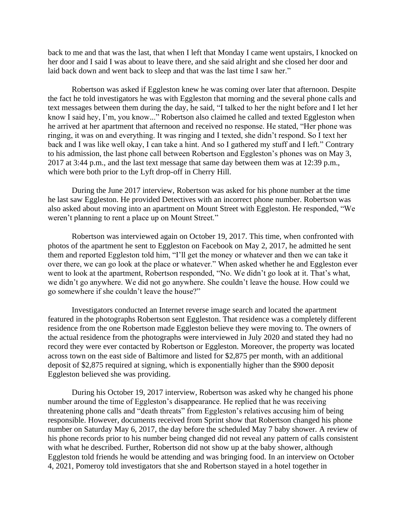back to me and that was the last, that when I left that Monday I came went upstairs, I knocked on her door and I said I was about to leave there, and she said alright and she closed her door and laid back down and went back to sleep and that was the last time I saw her."

Robertson was asked if Eggleston knew he was coming over later that afternoon. Despite the fact he told investigators he was with Eggleston that morning and the several phone calls and text messages between them during the day, he said, "I talked to her the night before and I let her know I said hey, I'm, you know..." Robertson also claimed he called and texted Eggleston when he arrived at her apartment that afternoon and received no response. He stated, "Her phone was ringing, it was on and everything. It was ringing and I texted, she didn't respond. So I text her back and I was like well okay, I can take a hint. And so I gathered my stuff and I left." Contrary to his admission, the last phone call between Robertson and Eggleston's phones was on May 3, 2017 at 3:44 p.m., and the last text message that same day between them was at 12:39 p.m., which were both prior to the Lyft drop-off in Cherry Hill.

During the June 2017 interview, Robertson was asked for his phone number at the time he last saw Eggleston. He provided Detectives with an incorrect phone number. Robertson was also asked about moving into an apartment on Mount Street with Eggleston. He responded, "We weren't planning to rent a place up on Mount Street."

Robertson was interviewed again on October 19, 2017. This time, when confronted with photos of the apartment he sent to Eggleston on Facebook on May 2, 2017, he admitted he sent them and reported Eggleston told him, "I'll get the money or whatever and then we can take it over there, we can go look at the place or whatever." When asked whether he and Eggleston ever went to look at the apartment, Robertson responded, "No. We didn't go look at it. That's what, we didn't go anywhere. We did not go anywhere. She couldn't leave the house. How could we go somewhere if she couldn't leave the house?"

Investigators conducted an Internet reverse image search and located the apartment featured in the photographs Robertson sent Eggleston. That residence was a completely different residence from the one Robertson made Eggleston believe they were moving to. The owners of the actual residence from the photographs were interviewed in July 2020 and stated they had no record they were ever contacted by Robertson or Eggleston. Moreover, the property was located across town on the east side of Baltimore and listed for \$2,875 per month, with an additional deposit of \$2,875 required at signing, which is exponentially higher than the \$900 deposit Eggleston believed she was providing.

During his October 19, 2017 interview, Robertson was asked why he changed his phone number around the time of Eggleston's disappearance. He replied that he was receiving threatening phone calls and "death threats" from Eggleston's relatives accusing him of being responsible. However, documents received from Sprint show that Robertson changed his phone number on Saturday May 6, 2017, the day before the scheduled May 7 baby shower. A review of his phone records prior to his number being changed did not reveal any pattern of calls consistent with what he described. Further, Robertson did not show up at the baby shower, although Eggleston told friends he would be attending and was bringing food. In an interview on October 4, 2021, Pomeroy told investigators that she and Robertson stayed in a hotel together in